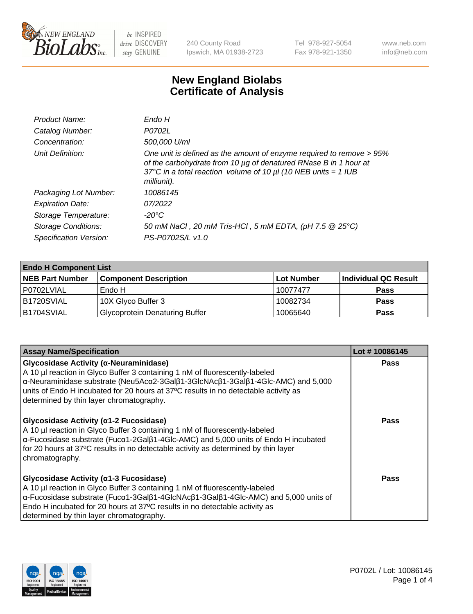

240 County Road Ipswich, MA 01938-2723 Tel 978-927-5054 Fax 978-921-1350 www.neb.com info@neb.com

## **New England Biolabs Certificate of Analysis**

| Product Name:              | Endo H                                                                                                                                                                                                                         |
|----------------------------|--------------------------------------------------------------------------------------------------------------------------------------------------------------------------------------------------------------------------------|
| Catalog Number:            | P0702L                                                                                                                                                                                                                         |
| Concentration:             | 500,000 U/ml                                                                                                                                                                                                                   |
| Unit Definition:           | One unit is defined as the amount of enzyme required to remove > 95%<br>of the carbohydrate from 10 µg of denatured RNase B in 1 hour at<br>37°C in a total reaction volume of 10 $\mu$ I (10 NEB units = 1 IUB<br>milliunit). |
| Packaging Lot Number:      | 10086145                                                                                                                                                                                                                       |
| <b>Expiration Date:</b>    | 07/2022                                                                                                                                                                                                                        |
| Storage Temperature:       | -20°C                                                                                                                                                                                                                          |
| <b>Storage Conditions:</b> | 50 mM NaCl, 20 mM Tris-HCl, 5 mM EDTA, (pH 7.5 @ 25°C)                                                                                                                                                                         |
| Specification Version:     | PS-P0702S/L v1.0                                                                                                                                                                                                               |

| <b>Endo H Component List</b> |                                       |             |                      |  |  |
|------------------------------|---------------------------------------|-------------|----------------------|--|--|
| <b>NEB Part Number</b>       | <b>Component Description</b>          | ∣Lot Number | Individual QC Result |  |  |
| P0702LVIAL                   | Endo H                                | 10077477    | <b>Pass</b>          |  |  |
| <b>B1720SVIAL</b>            | 10X Glyco Buffer 3                    | 10082734    | <b>Pass</b>          |  |  |
| B1704SVIAL                   | <b>Glycoprotein Denaturing Buffer</b> | 10065640    | <b>Pass</b>          |  |  |

| <b>Assay Name/Specification</b>                                                                                                                                                                                                                                                                                                                                                         | Lot #10086145 |
|-----------------------------------------------------------------------------------------------------------------------------------------------------------------------------------------------------------------------------------------------------------------------------------------------------------------------------------------------------------------------------------------|---------------|
| Glycosidase Activity (α-Neuraminidase)<br>A 10 µl reaction in Glyco Buffer 3 containing 1 nM of fluorescently-labeled<br>α-Neuraminidase substrate (Neu5Acα2-3Galβ1-3GlcNAcβ1-3Galβ1-4Glc-AMC) and 5,000<br>units of Endo H incubated for 20 hours at 37°C results in no detectable activity as<br>determined by thin layer chromatography.                                             | <b>Pass</b>   |
| Glycosidase Activity (α1-2 Fucosidase)<br>A 10 µl reaction in Glyco Buffer 3 containing 1 nM of fluorescently-labeled<br>$\alpha$ -Fucosidase substrate (Fuc $\alpha$ 1-2Gal $\beta$ 1-4Glc-AMC) and 5,000 units of Endo H incubated<br>for 20 hours at 37°C results in no detectable activity as determined by thin layer<br>chromatography.                                           | Pass          |
| Glycosidase Activity ( $\alpha$ 1-3 Fucosidase)<br>A 10 µl reaction in Glyco Buffer 3 containing 1 nM of fluorescently-labeled<br>$\alpha$ -Fucosidase substrate (Fuc $\alpha$ 1-3Gal $\beta$ 1-4GlcNAc $\beta$ 1-3Gal $\beta$ 1-4Glc-AMC) and 5,000 units of<br>Endo H incubated for 20 hours at 37°C results in no detectable activity as<br>determined by thin layer chromatography. | Pass          |

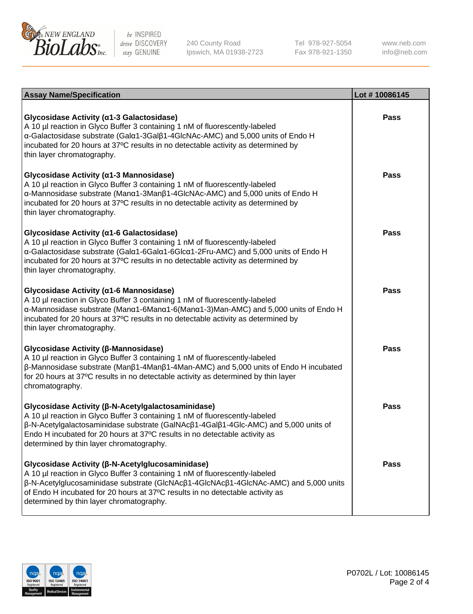

240 County Road Ipswich, MA 01938-2723 Tel 978-927-5054 Fax 978-921-1350

www.neb.com info@neb.com

| <b>Assay Name/Specification</b>                                                                                                                                                                                                                                                                                                                      | Lot #10086145 |
|------------------------------------------------------------------------------------------------------------------------------------------------------------------------------------------------------------------------------------------------------------------------------------------------------------------------------------------------------|---------------|
| Glycosidase Activity (α1-3 Galactosidase)<br>A 10 µl reaction in Glyco Buffer 3 containing 1 nM of fluorescently-labeled<br>α-Galactosidase substrate (Galα1-3Galβ1-4GlcNAc-AMC) and 5,000 units of Endo H<br>incubated for 20 hours at 37°C results in no detectable activity as determined by<br>thin layer chromatography.                        | Pass          |
| Glycosidase Activity (α1-3 Mannosidase)<br>A 10 µl reaction in Glyco Buffer 3 containing 1 nM of fluorescently-labeled<br>α-Mannosidase substrate (Manα1-3Manβ1-4GlcNAc-AMC) and 5,000 units of Endo H<br>incubated for 20 hours at 37°C results in no detectable activity as determined by<br>thin layer chromatography.                            | Pass          |
| Glycosidase Activity (α1-6 Galactosidase)<br>A 10 µl reaction in Glyco Buffer 3 containing 1 nM of fluorescently-labeled<br>α-Galactosidase substrate (Galα1-6Galα1-6Glcα1-2Fru-AMC) and 5,000 units of Endo H<br>incubated for 20 hours at 37°C results in no detectable activity as determined by<br>thin layer chromatography.                    | Pass          |
| Glycosidase Activity (α1-6 Mannosidase)<br>A 10 µl reaction in Glyco Buffer 3 containing 1 nM of fluorescently-labeled<br>α-Mannosidase substrate (Μanα1-6Μanα1-6(Μanα1-3)Man-AMC) and 5,000 units of Endo H<br>incubated for 20 hours at 37°C results in no detectable activity as determined by<br>thin layer chromatography.                      | <b>Pass</b>   |
| Glycosidase Activity (β-Mannosidase)<br>A 10 µl reaction in Glyco Buffer 3 containing 1 nM of fluorescently-labeled<br>$\beta$ -Mannosidase substrate (Man $\beta$ 1-4Man $\beta$ 1-4Man-AMC) and 5,000 units of Endo H incubated<br>for 20 hours at 37°C results in no detectable activity as determined by thin layer<br>chromatography.           | Pass          |
| Glycosidase Activity (β-N-Acetylgalactosaminidase)<br>A 10 µl reaction in Glyco Buffer 3 containing 1 nM of fluorescently-labeled<br>β-N-Acetylgalactosaminidase substrate (GalNAcβ1-4Galβ1-4Glc-AMC) and 5,000 units of<br>Endo H incubated for 20 hours at 37°C results in no detectable activity as<br>determined by thin layer chromatography.   | Pass          |
| Glycosidase Activity (β-N-Acetylglucosaminidase)<br>A 10 µl reaction in Glyco Buffer 3 containing 1 nM of fluorescently-labeled<br>β-N-Acetylglucosaminidase substrate (GlcNAcβ1-4GlcNAcβ1-4GlcNAc-AMC) and 5,000 units<br>of Endo H incubated for 20 hours at 37°C results in no detectable activity as<br>determined by thin layer chromatography. | Pass          |

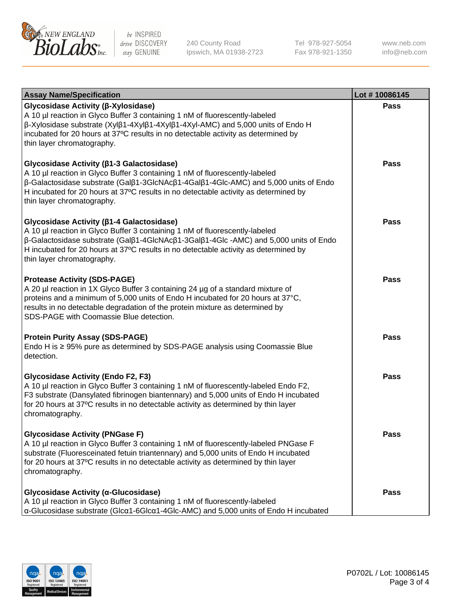

240 County Road Ipswich, MA 01938-2723 Tel 978-927-5054 Fax 978-921-1350

www.neb.com info@neb.com

| <b>Assay Name/Specification</b>                                                                                                                                                                                                                                                                                                                                      | Lot #10086145 |
|----------------------------------------------------------------------------------------------------------------------------------------------------------------------------------------------------------------------------------------------------------------------------------------------------------------------------------------------------------------------|---------------|
| Glycosidase Activity (β-Xylosidase)<br>A 10 µl reaction in Glyco Buffer 3 containing 1 nM of fluorescently-labeled<br>$\beta$ -Xylosidase substrate (Xyl $\beta$ 1-4Xyl $\beta$ 1-4Xyl $\beta$ 1-4Xyl-AMC) and 5,000 units of Endo H<br>incubated for 20 hours at 37°C results in no detectable activity as determined by<br>thin layer chromatography.              | Pass          |
| Glycosidase Activity (β1-3 Galactosidase)<br>A 10 µl reaction in Glyco Buffer 3 containing 1 nM of fluorescently-labeled<br>β-Galactosidase substrate (Galβ1-3GlcNAcβ1-4Galβ1-4Glc-AMC) and 5,000 units of Endo<br>H incubated for 20 hours at 37°C results in no detectable activity as determined by<br>thin layer chromatography.                                 | <b>Pass</b>   |
| Glycosidase Activity (β1-4 Galactosidase)<br>A 10 µl reaction in Glyco Buffer 3 containing 1 nM of fluorescently-labeled<br>$\beta$ -Galactosidase substrate (Gal $\beta$ 1-4GlcNAc $\beta$ 1-3Gal $\beta$ 1-4Glc -AMC) and 5,000 units of Endo<br>H incubated for 20 hours at 37°C results in no detectable activity as determined by<br>thin layer chromatography. | Pass          |
| <b>Protease Activity (SDS-PAGE)</b><br>A 20 µl reaction in 1X Glyco Buffer 3 containing 24 µg of a standard mixture of<br>proteins and a minimum of 5,000 units of Endo H incubated for 20 hours at 37°C,<br>results in no detectable degradation of the protein mixture as determined by<br>SDS-PAGE with Coomassie Blue detection.                                 | Pass          |
| <b>Protein Purity Assay (SDS-PAGE)</b><br>Endo H is ≥ 95% pure as determined by SDS-PAGE analysis using Coomassie Blue<br>detection.                                                                                                                                                                                                                                 | <b>Pass</b>   |
| <b>Glycosidase Activity (Endo F2, F3)</b><br>A 10 µl reaction in Glyco Buffer 3 containing 1 nM of fluorescently-labeled Endo F2,<br>F3 substrate (Dansylated fibrinogen biantennary) and 5,000 units of Endo H incubated<br>for 20 hours at 37°C results in no detectable activity as determined by thin layer<br>chromatography.                                   | <b>Pass</b>   |
| <b>Glycosidase Activity (PNGase F)</b><br>A 10 µl reaction in Glyco Buffer 3 containing 1 nM of fluorescently-labeled PNGase F<br>substrate (Fluoresceinated fetuin triantennary) and 5,000 units of Endo H incubated<br>for 20 hours at 37°C results in no detectable activity as determined by thin layer<br>chromatography.                                       | Pass          |
| Glycosidase Activity (α-Glucosidase)<br>A 10 µl reaction in Glyco Buffer 3 containing 1 nM of fluorescently-labeled<br>α-Glucosidase substrate (Glcα1-6Glcα1-4Glc-AMC) and 5,000 units of Endo H incubated                                                                                                                                                           | Pass          |